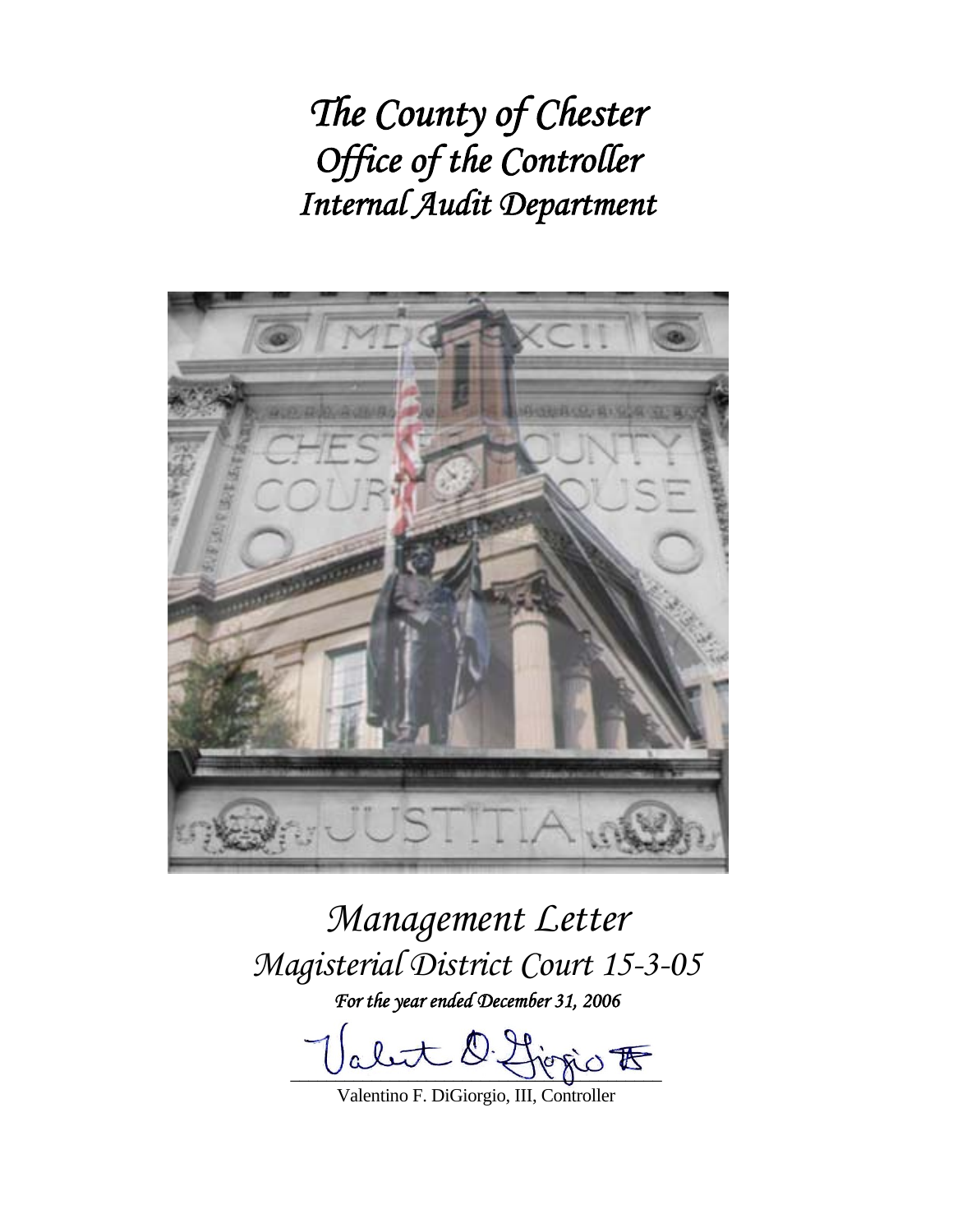*The County of Chester Office of the Controller Internal Audit Department* 



*Management Letter Magisterial District Court 15-3-05 For the year ended December 31, 2006* 

 $D Y$ fiogio <del>to</del>

Valentino F. DiGiorgio, III, Controller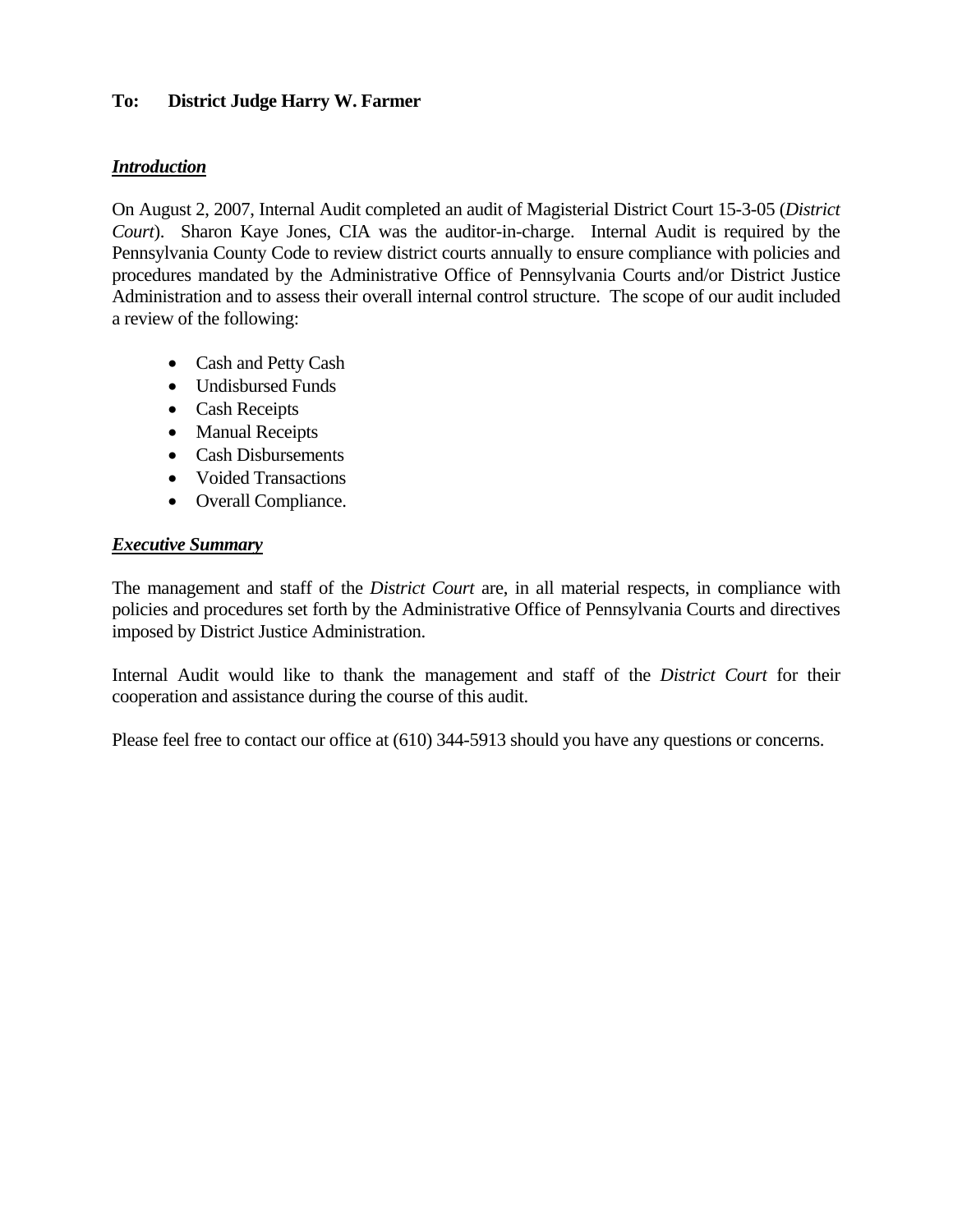## **To: District Judge Harry W. Farmer**

## *Introduction*

On August 2, 2007, Internal Audit completed an audit of Magisterial District Court 15-3-05 (*District Court*). Sharon Kaye Jones, CIA was the auditor-in-charge. Internal Audit is required by the Pennsylvania County Code to review district courts annually to ensure compliance with policies and procedures mandated by the Administrative Office of Pennsylvania Courts and/or District Justice Administration and to assess their overall internal control structure. The scope of our audit included a review of the following:

- Cash and Petty Cash
- Undisbursed Funds
- Cash Receipts
- Manual Receipts
- Cash Disbursements
- Voided Transactions
- Overall Compliance.

### *Executive Summary*

The management and staff of the *District Court* are, in all material respects, in compliance with policies and procedures set forth by the Administrative Office of Pennsylvania Courts and directives imposed by District Justice Administration.

Internal Audit would like to thank the management and staff of the *District Court* for their cooperation and assistance during the course of this audit.

Please feel free to contact our office at (610) 344-5913 should you have any questions or concerns.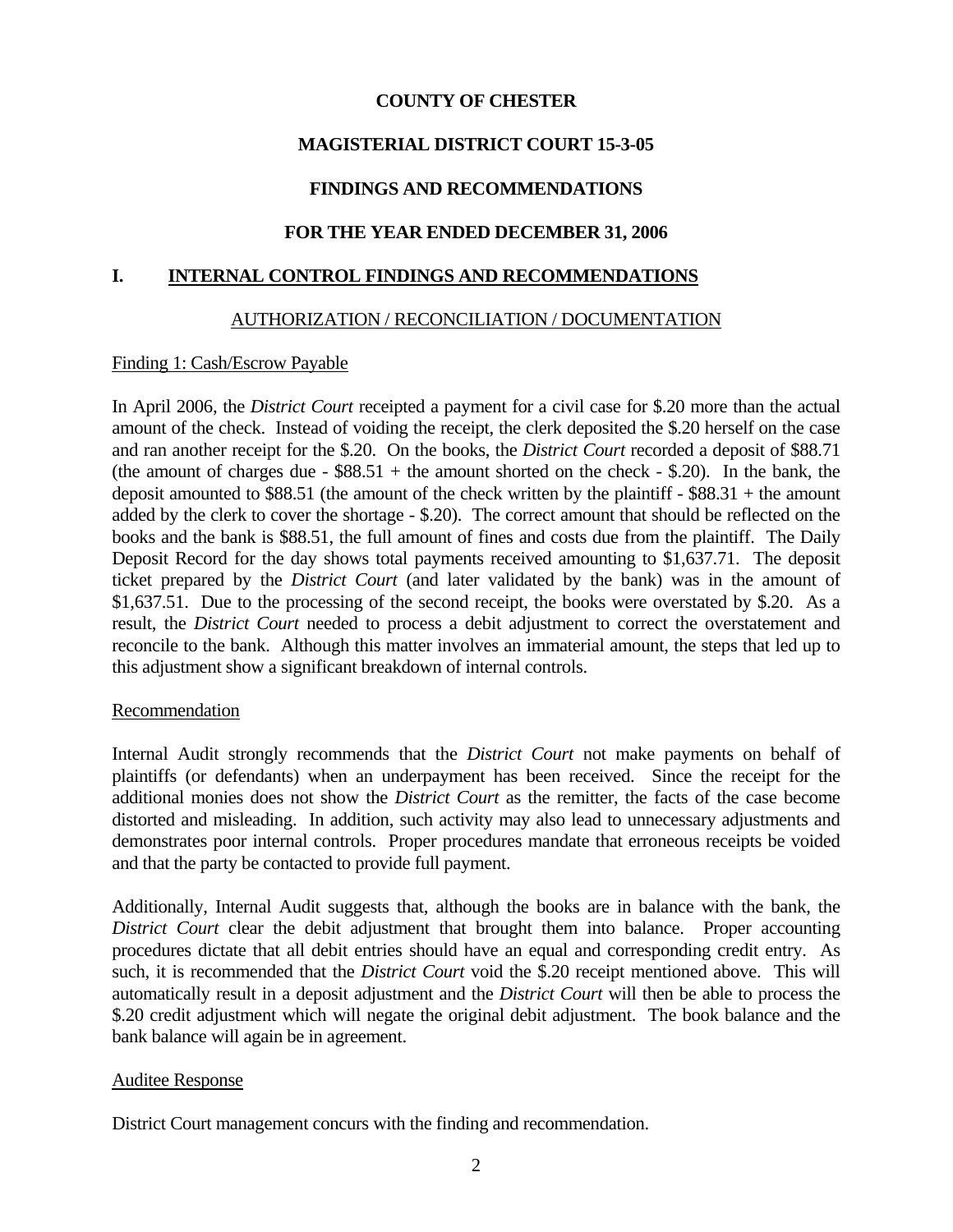## **COUNTY OF CHESTER**

## **MAGISTERIAL DISTRICT COURT 15-3-05**

## **FINDINGS AND RECOMMENDATIONS**

## **FOR THE YEAR ENDED DECEMBER 31, 2006**

#### **I. INTERNAL CONTROL FINDINGS AND RECOMMENDATIONS**

### AUTHORIZATION / RECONCILIATION / DOCUMENTATION

#### Finding 1: Cash/Escrow Payable

In April 2006, the *District Court* receipted a payment for a civil case for \$.20 more than the actual amount of the check. Instead of voiding the receipt, the clerk deposited the \$.20 herself on the case and ran another receipt for the \$.20. On the books, the *District Court* recorded a deposit of \$88.71 (the amount of charges due -  $$88.51 +$  the amount shorted on the check - \$.20). In the bank, the deposit amounted to \$88.51 (the amount of the check written by the plaintiff - \$88.31 + the amount added by the clerk to cover the shortage - \$.20). The correct amount that should be reflected on the books and the bank is \$88.51, the full amount of fines and costs due from the plaintiff. The Daily Deposit Record for the day shows total payments received amounting to \$1,637.71. The deposit ticket prepared by the *District Court* (and later validated by the bank) was in the amount of \$1,637.51. Due to the processing of the second receipt, the books were overstated by \$.20. As a result, the *District Court* needed to process a debit adjustment to correct the overstatement and reconcile to the bank. Although this matter involves an immaterial amount, the steps that led up to this adjustment show a significant breakdown of internal controls.

### Recommendation

Internal Audit strongly recommends that the *District Court* not make payments on behalf of plaintiffs (or defendants) when an underpayment has been received. Since the receipt for the additional monies does not show the *District Court* as the remitter, the facts of the case become distorted and misleading. In addition, such activity may also lead to unnecessary adjustments and demonstrates poor internal controls. Proper procedures mandate that erroneous receipts be voided and that the party be contacted to provide full payment.

Additionally, Internal Audit suggests that, although the books are in balance with the bank, the *District Court* clear the debit adjustment that brought them into balance. Proper accounting procedures dictate that all debit entries should have an equal and corresponding credit entry. As such, it is recommended that the *District Court* void the \$.20 receipt mentioned above. This will automatically result in a deposit adjustment and the *District Court* will then be able to process the \$.20 credit adjustment which will negate the original debit adjustment. The book balance and the bank balance will again be in agreement.

### Auditee Response

District Court management concurs with the finding and recommendation.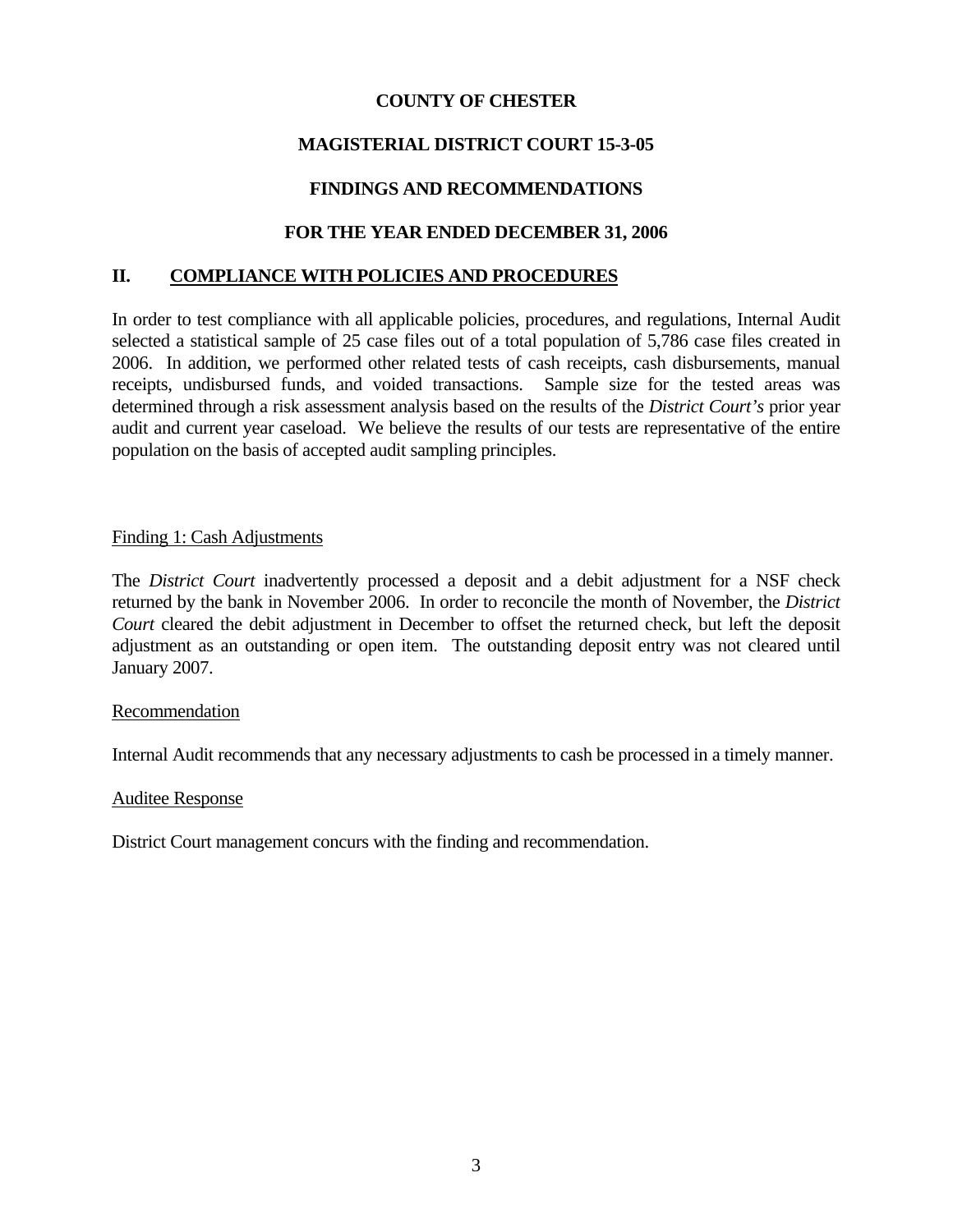## **COUNTY OF CHESTER**

## **MAGISTERIAL DISTRICT COURT 15-3-05**

## **FINDINGS AND RECOMMENDATIONS**

## **FOR THE YEAR ENDED DECEMBER 31, 2006**

### **II. COMPLIANCE WITH POLICIES AND PROCEDURES**

In order to test compliance with all applicable policies, procedures, and regulations, Internal Audit selected a statistical sample of 25 case files out of a total population of 5,786 case files created in 2006. In addition, we performed other related tests of cash receipts, cash disbursements, manual receipts, undisbursed funds, and voided transactions. Sample size for the tested areas was determined through a risk assessment analysis based on the results of the *District Court's* prior year audit and current year caseload. We believe the results of our tests are representative of the entire population on the basis of accepted audit sampling principles.

#### Finding 1: Cash Adjustments

The *District Court* inadvertently processed a deposit and a debit adjustment for a NSF check returned by the bank in November 2006. In order to reconcile the month of November, the *District Court* cleared the debit adjustment in December to offset the returned check, but left the deposit adjustment as an outstanding or open item. The outstanding deposit entry was not cleared until January 2007.

#### Recommendation

Internal Audit recommends that any necessary adjustments to cash be processed in a timely manner.

#### Auditee Response

District Court management concurs with the finding and recommendation.